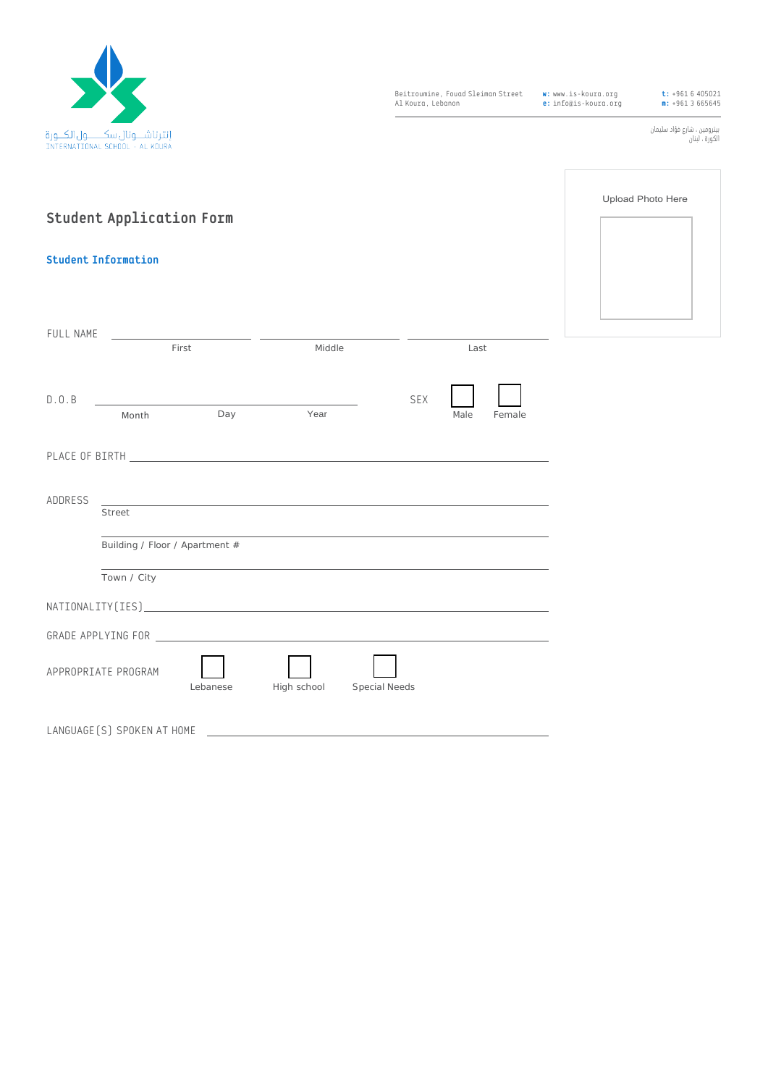

Beitroumine, Fouad Sleiman Street Al Koura, Lebanon

**w:** www.is-koura.org **e:** info@is-koura.org

**t:** +961 6 405021 **m:** +961 3 665645

بيترومين ، شارع فؤاد سليمان الكورة ، لبنان

Upload Photo Here

| <b>Student Application Form</b>        |                                                           |          |             |                      |      |  |
|----------------------------------------|-----------------------------------------------------------|----------|-------------|----------------------|------|--|
| <b>Student Information</b>             |                                                           |          |             |                      |      |  |
| FULL NAME                              | the control of the control of the control of the<br>First |          | Middle      |                      | Last |  |
| D.0.B                                  |                                                           |          |             | <b>SEX</b>           |      |  |
| Year<br>Day<br>Male<br>Month<br>Female |                                                           |          |             |                      |      |  |
| ADDRESS                                | <b>Street</b>                                             |          |             |                      |      |  |
|                                        | Building / Floor / Apartment #                            |          |             |                      |      |  |
|                                        | Town / City                                               |          |             |                      |      |  |
|                                        |                                                           |          |             |                      |      |  |
|                                        | APPROPRIATE PROGRAM                                       | Lebanese | High school | <b>Special Needs</b> |      |  |
| LANGUAGE [S] SPOKEN AT HOME            |                                                           |          |             |                      |      |  |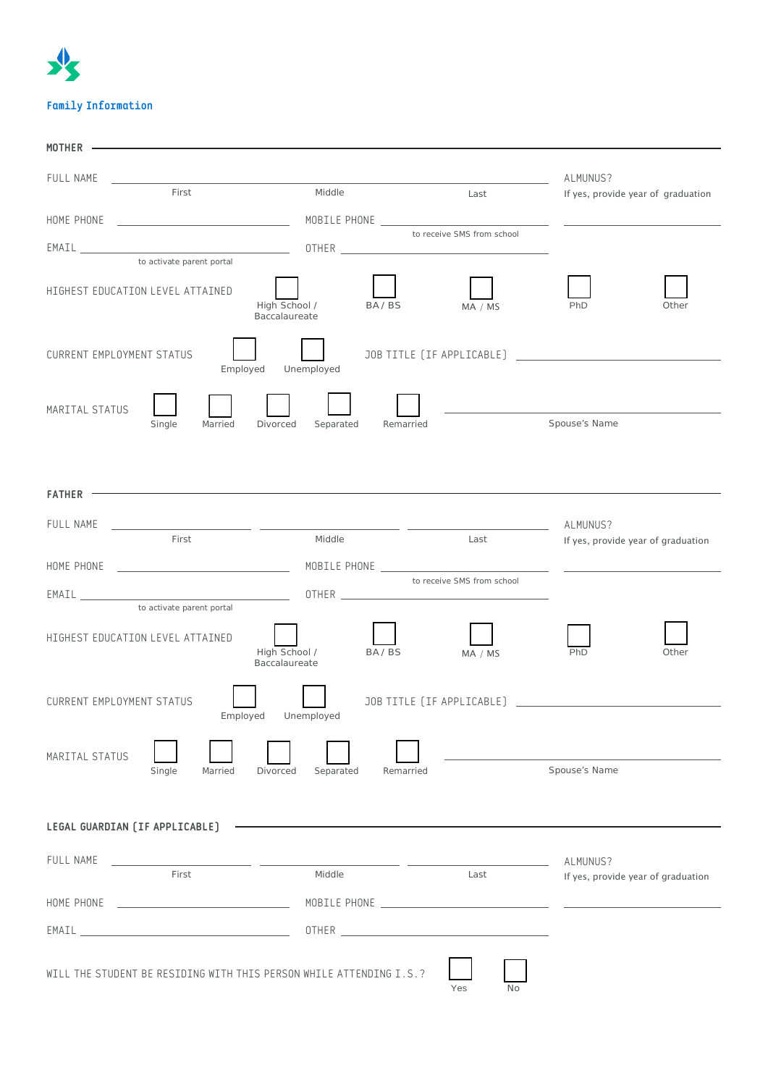# 水 **Family Information**

| MOTHER                                                                                                                                                                                                                         |                                           |                            |                                                |  |
|--------------------------------------------------------------------------------------------------------------------------------------------------------------------------------------------------------------------------------|-------------------------------------------|----------------------------|------------------------------------------------|--|
| FULL NAME                                                                                                                                                                                                                      |                                           |                            | ALMUNUS?                                       |  |
| First                                                                                                                                                                                                                          | Middle                                    | Last                       | If yes, provide year of graduation             |  |
|                                                                                                                                                                                                                                |                                           | to receive SMS from school |                                                |  |
|                                                                                                                                                                                                                                |                                           |                            |                                                |  |
| to activate parent portal<br>HIGHEST EDUCATION LEVEL ATTAINED                                                                                                                                                                  | High School /<br>BA/BS<br>Baccalaureate   | MA / MS                    | PhD<br>Other                                   |  |
| <b>CURRENT EMPLOYMENT STATUS</b><br>Employed                                                                                                                                                                                   | Unemployed                                |                            |                                                |  |
| MARITAL STATUS<br>Married<br>Single                                                                                                                                                                                            | Separated<br>Remarried<br>Divorced        |                            | Spouse's Name                                  |  |
|                                                                                                                                                                                                                                |                                           |                            |                                                |  |
| $FATHER$ -                                                                                                                                                                                                                     |                                           |                            |                                                |  |
| FULL NAME<br>First                                                                                                                                                                                                             | Middle                                    | Last                       | ALMUNUS?<br>If yes, provide year of graduation |  |
|                                                                                                                                                                                                                                |                                           |                            |                                                |  |
| to activate parent portal                                                                                                                                                                                                      |                                           | to receive SMS from school |                                                |  |
| HIGHEST EDUCATION LEVEL ATTAINED                                                                                                                                                                                               | High School /<br>BA/BS<br>Baccalaureate   | MA / MS                    | Other<br>PhD                                   |  |
| <b>CURRENT EMPLOYMENT STATUS</b><br>Employed<br>Unemployed                                                                                                                                                                     |                                           |                            |                                                |  |
| MARITAL STATUS<br>Single<br>Married                                                                                                                                                                                            | Separated<br><b>Divorced</b><br>Remarried |                            | Spouse's Name                                  |  |
|                                                                                                                                                                                                                                |                                           |                            |                                                |  |
| LEGAL GUARDIAN (IF APPLICABLE)                                                                                                                                                                                                 |                                           |                            |                                                |  |
| FULL NAME<br>First                                                                                                                                                                                                             | Middle                                    | Last                       | ALMUNUS?<br>If yes, provide year of graduation |  |
| HOME PHONE<br><u> 1989 - Johann Barn, amerikansk politiker (</u>                                                                                                                                                               |                                           |                            |                                                |  |
| EMAIL CONTRACTED AND RESERVE THE CONTRACT OF THE CONTRACT OF THE CONTRACT OF THE CONTRACT OF THE CONTRACT OF THE CONTRACT OF THE CONTRACT OF THE CONTRACT OF THE CONTRACT OF THE CONTRACT OF THE CONTRACT OF THE CONTRACT OF T |                                           |                            |                                                |  |
| WILL THE STUDENT BE RESIDING WITH THIS PERSON WHILE ATTENDING I.S.?                                                                                                                                                            |                                           | Yes<br>No                  |                                                |  |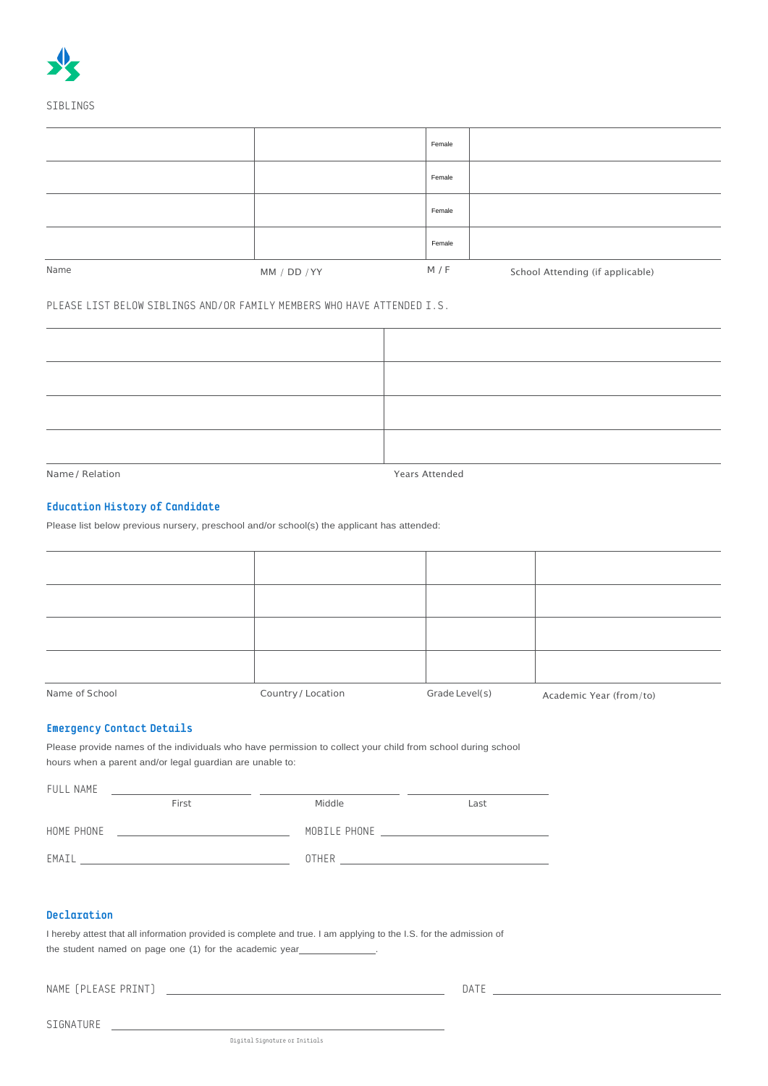|      |              | Female |                                  |
|------|--------------|--------|----------------------------------|
|      |              | Female |                                  |
|      |              | Female |                                  |
|      |              | Female |                                  |
| Name | MM / DD / YY | M / F  | School Attending (if applicable) |

### PLEASE LIST BELOW SIBLINGS AND/OR FAMILY MEMBERS WHO HAVE ATTENDED I.S.

Name / Relation Years Attended

## **Education History of Candidate**

Please list below previous nursery, preschool and/or school(s) the applicant has attended:

| Name of School | Country / Location | Grade Level(s) | Academic Year (from/to) |
|----------------|--------------------|----------------|-------------------------|

### **Emergency Contact Details**

Please provide names of the individuals who have permission to collect your child from school during school hours when a parent and/or legal guardian are unable to:

| FULL NAME  |       |              |      |
|------------|-------|--------------|------|
|            | First | Middle       | Last |
| HOME PHONE |       | MOBILE PHONE |      |
| EMAIL      |       | <b>OTHER</b> |      |

## **Declaration**

| I hereby attest that all information provided is complete and true. I am applying to the I.S. for the admission of |
|--------------------------------------------------------------------------------------------------------------------|
| the student named on page one (1) for the academic year                                                            |

NAME (PLEASE PRINT) DATE

SIGNATURE

Digital Signature or Initials